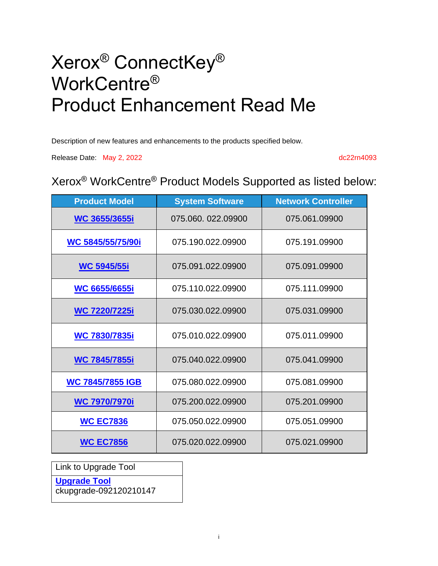# Xerox® ConnectKey® WorkCentre® Product Enhancement Read Me

Description of new features and enhancements to the products specified below.

Release Date: May 2, 2022 dc22rn4093

### Xerox® WorkCentre® Product Models Supported as listed below:

| <b>Product Model</b>    | <b>System Software</b> | <b>Network Controller</b> |
|-------------------------|------------------------|---------------------------|
| WC 3655/3655i           | 075.060. 022.09900     | 075.061.09900             |
| WC 5845/55/75/90i       | 075.190.022.09900      | 075.191.09900             |
| <b>WC 5945/55i</b>      | 075.091.022.09900      | 075.091.09900             |
| <b>WC 6655/6655i</b>    | 075.110.022.09900      | 075.111.09900             |
| <b>WC 7220/7225i</b>    | 075.030.022.09900      | 075.031.09900             |
| <b>WC 7830/7835i</b>    | 075.010.022.09900      | 075.011.09900             |
| <b>WC 7845/7855i</b>    | 075.040.022.09900      | 075.041.09900             |
| <b>WC 7845/7855 IGB</b> | 075.080.022.09900      | 075.081.09900             |
| <b>WC 7970/7970i</b>    | 075.200.022.09900      | 075.201.09900             |
| <b>WC EC7836</b>        | 075.050.022.09900      | 075.051.09900             |
| <b>WC EC7856</b>        | 075.020.022.09900      | 075.021.09900             |

Link to Upgrade Tool

**[Upgrade Tool](https://www.support.xerox.com/en-us/product/WC3655I/content/153727)**

ckupgrade-092120210147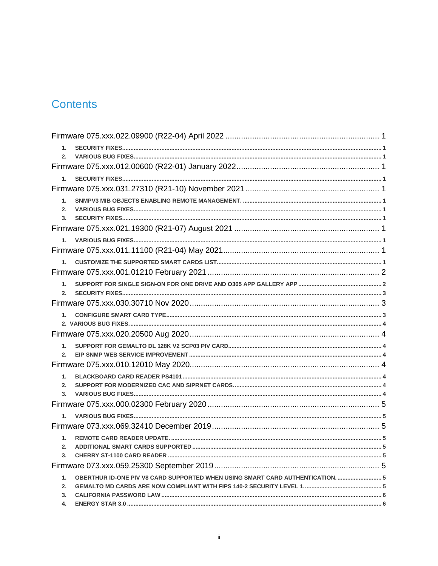# **Contents**

| 1.                                                                                   |  |
|--------------------------------------------------------------------------------------|--|
| 2.                                                                                   |  |
|                                                                                      |  |
| $1_{-}$                                                                              |  |
|                                                                                      |  |
| 1 <sub>1</sub>                                                                       |  |
| 2.                                                                                   |  |
| 3.                                                                                   |  |
|                                                                                      |  |
| $1_{-}$                                                                              |  |
|                                                                                      |  |
| 1.                                                                                   |  |
|                                                                                      |  |
| $1-$<br>2.                                                                           |  |
|                                                                                      |  |
| 1.                                                                                   |  |
|                                                                                      |  |
|                                                                                      |  |
| $1-$                                                                                 |  |
| 2.                                                                                   |  |
|                                                                                      |  |
| $1-$                                                                                 |  |
| 2.                                                                                   |  |
| 3.                                                                                   |  |
|                                                                                      |  |
| 1.                                                                                   |  |
|                                                                                      |  |
| 1.                                                                                   |  |
| 2.                                                                                   |  |
| 3.                                                                                   |  |
|                                                                                      |  |
| OBERTHUR ID-ONE PIV V8 CARD SUPPORTED WHEN USING SMART CARD AUTHENTICATION.  5<br>1. |  |
| 2.                                                                                   |  |
| 3.<br>4.                                                                             |  |
|                                                                                      |  |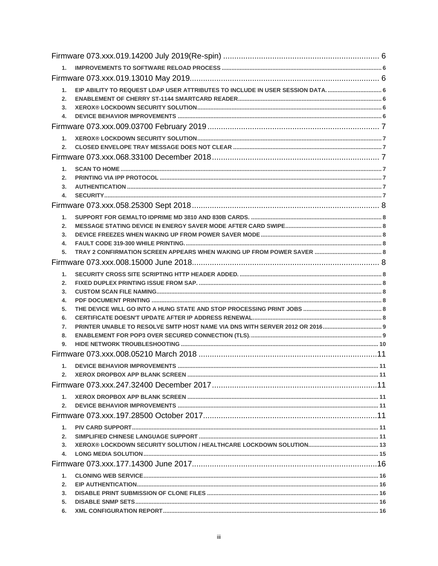| 1.       |  |
|----------|--|
| 2.       |  |
| 3.       |  |
| 4.       |  |
|          |  |
| $1_{-}$  |  |
| 2.       |  |
|          |  |
| 1.       |  |
| 2.       |  |
| 3.<br>4. |  |
|          |  |
|          |  |
| 1.       |  |
| 2.<br>3. |  |
| 4.       |  |
| 5.       |  |
|          |  |
| 1.       |  |
| 2.       |  |
| 3.       |  |
| 4.       |  |
| 5.       |  |
| 6.<br>7. |  |
| 8.       |  |
| 9.       |  |
|          |  |
| $1_{-}$  |  |
| 2.       |  |
|          |  |
| 1.       |  |
| 2.       |  |
|          |  |
| 1.       |  |
| 2.       |  |
| 3.       |  |
| 4.       |  |
|          |  |
| 1.       |  |
| 2.       |  |
| 3.       |  |
| 5.<br>6. |  |
|          |  |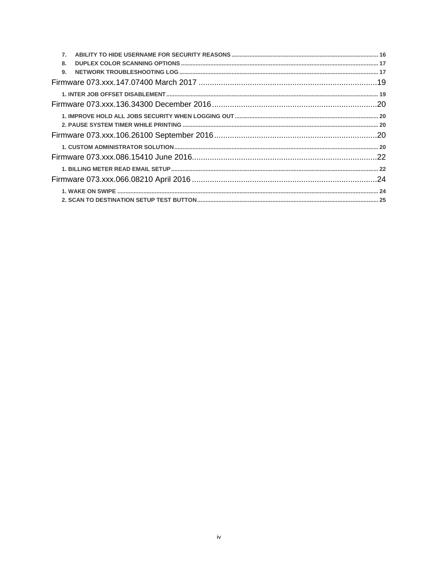| 7 <sub>1</sub> |  |
|----------------|--|
| 8.             |  |
| 9.             |  |
|                |  |
|                |  |
|                |  |
|                |  |
|                |  |
|                |  |
|                |  |
|                |  |
|                |  |
|                |  |
|                |  |
|                |  |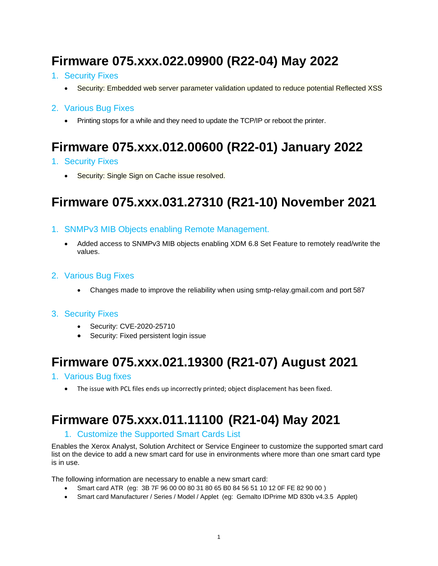# <span id="page-4-0"></span>**Firmware 075.xxx.022.09900 (R22-04) May 2022**

- <span id="page-4-1"></span>1. Security Fixes
	- Security: Embedded web server parameter validation updated to reduce potential Reflected XSS

### <span id="page-4-2"></span>2. Various Bug Fixes

• Printing stops for a while and they need to update the TCP/IP or reboot the printer.

# <span id="page-4-3"></span>**Firmware 075.xxx.012.00600 (R22-01) January 2022**

- <span id="page-4-4"></span>1. Security Fixes
	- Security: Single Sign on Cache issue resolved.

# <span id="page-4-5"></span>**Firmware 075.xxx.031.27310 (R21-10) November 2021**

- <span id="page-4-6"></span>1. SNMPv3 MIB Objects enabling Remote Management.
	- Added access to SNMPv3 MIB objects enabling XDM 6.8 Set Feature to remotely read/write the values.
- <span id="page-4-7"></span>2. Various Bug Fixes
	- Changes made to improve the reliability when using smtp-relay.gmail.com and port 587

#### <span id="page-4-8"></span>3. Security Fixes

- Security: CVE-2020-25710
- Security: Fixed persistent login issue

# <span id="page-4-9"></span>**Firmware 075.xxx.021.19300 (R21-07) August 2021**

- <span id="page-4-10"></span>1. Various Bug fixes
	- The issue with PCL files ends up incorrectly printed; object displacement has been fixed.

# <span id="page-4-12"></span><span id="page-4-11"></span>**Firmware 075.xxx.011.11100 (R21-04) May 2021**

### 1. Customize the Supported Smart Cards List

Enables the Xerox Analyst, Solution Architect or Service Engineer to customize the supported smart card list on the device to add a new smart card for use in environments where more than one smart card type is in use.

The following information are necessary to enable a new smart card:

- Smart card ATR (eg: 3B 7F 96 00 00 80 31 80 65 B0 84 56 51 10 12 0F FE 82 90 00 )
- Smart card Manufacturer / Series / Model / Applet (eg: Gemalto IDPrime MD 830b v4.3.5 Applet)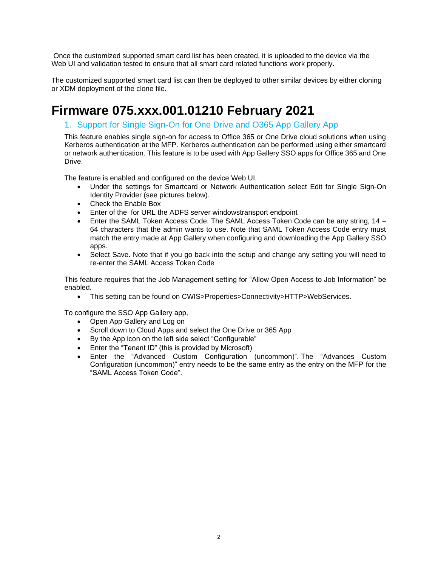Once the customized supported smart card list has been created, it is uploaded to the device via the Web UI and validation tested to ensure that all smart card related functions work properly.

The customized supported smart card list can then be deployed to other similar devices by either cloning or XDM deployment of the clone file.

# <span id="page-5-1"></span><span id="page-5-0"></span>**Firmware 075.xxx.001.01210 February 2021**

### 1. Support for Single Sign-On for One Drive and O365 App Gallery App

This feature enables single sign-on for access to Office 365 or One Drive cloud solutions when using Kerberos authentication at the MFP. Kerberos authentication can be performed using either smartcard or network authentication. This feature is to be used with App Gallery SSO apps for Office 365 and One Drive.

The feature is enabled and configured on the device Web UI.

- Under the settings for Smartcard or Network Authentication select Edit for Single Sign-On Identity Provider (see pictures below).
- Check the Enable Box
- Enter of the for URL the ADFS server windowstransport endpoint
- Enter the SAML Token Access Code. The SAML Access Token Code can be any string, 14 64 characters that the admin wants to use. Note that SAML Token Access Code entry must match the entry made at App Gallery when configuring and downloading the App Gallery SSO apps.
- Select Save. Note that if you go back into the setup and change any setting you will need to re-enter the SAML Access Token Code

This feature requires that the Job Management setting for "Allow Open Access to Job Information" be enabled.

• This setting can be found on CWIS>Properties>Connectivity>HTTP>WebServices.

To configure the SSO App Gallery app,

- Open App Gallery and Log on
- Scroll down to Cloud Apps and select the One Drive or 365 App
- By the App icon on the left side select "Configurable"
- Enter the "Tenant ID" (this is provided by Microsoft)
- Enter the "Advanced Custom Configuration (uncommon)". The "Advances Custom Configuration (uncommon)" entry needs to be the same entry as the entry on the MFP for the "SAML Access Token Code".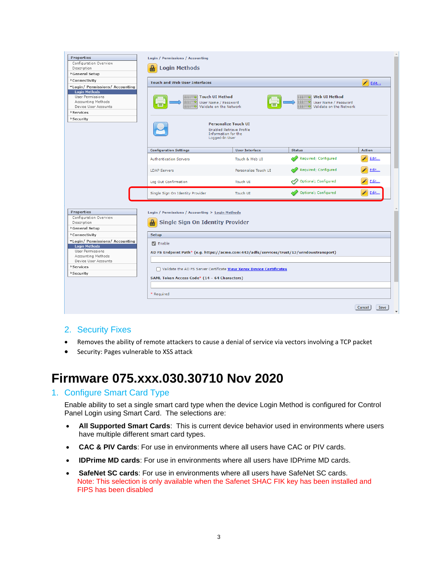| Properties                                                                                                                            | Login / Permissions / Accounting                                                                                                                                                                                                           |                       |                      |                |  |  |  |  |  |
|---------------------------------------------------------------------------------------------------------------------------------------|--------------------------------------------------------------------------------------------------------------------------------------------------------------------------------------------------------------------------------------------|-----------------------|----------------------|----------------|--|--|--|--|--|
| Configuration Overview                                                                                                                |                                                                                                                                                                                                                                            |                       |                      |                |  |  |  |  |  |
| Description                                                                                                                           | 욜<br><b>Login Methods</b>                                                                                                                                                                                                                  |                       |                      |                |  |  |  |  |  |
| General Setup                                                                                                                         |                                                                                                                                                                                                                                            |                       |                      |                |  |  |  |  |  |
| Connectivity                                                                                                                          | <b>Touch and Web User Interfaces</b>                                                                                                                                                                                                       |                       |                      | Í<br>Edit      |  |  |  |  |  |
| *Login/ Permissions/ Accounting<br><b>Login Methods</b><br>User Permissions<br>Accounting Methods<br>Device User Accounts<br>Services | <b>Touch UI Method</b><br>Web UI Method<br>''''''' ol<br><b>IIIIIIII</b> 0<br><b>IIIIIII</b> o<br>IIIIIII o<br>User Name / Password<br>User Name / Password<br><b>IIIIII</b> o<br>Validate on the Network<br>ШШ<br>Validate on the Network |                       |                      |                |  |  |  |  |  |
| <b>▶Security</b>                                                                                                                      | <b>Personalize Touch UI</b><br><b>Enabled Retrieve Profile</b><br>Information for the<br>Logged-In User                                                                                                                                    |                       |                      |                |  |  |  |  |  |
|                                                                                                                                       | <b>Configuration Settings</b>                                                                                                                                                                                                              | <b>User Interface</b> | <b>Status</b>        | <b>Action</b>  |  |  |  |  |  |
|                                                                                                                                       | <b>Authentication Servers</b>                                                                                                                                                                                                              | Touch & Web UI        | Required; Configured | Edit           |  |  |  |  |  |
|                                                                                                                                       | <b>LDAP Servers</b>                                                                                                                                                                                                                        | Personalize Touch UI  | Required; Configured | Edit           |  |  |  |  |  |
|                                                                                                                                       | Log Out Confirmation                                                                                                                                                                                                                       | Touch UI              | Optional; Configured | Edit           |  |  |  |  |  |
|                                                                                                                                       | Single Sign On Identity Provider                                                                                                                                                                                                           | Touch UI              | Optional; Configured | Edit           |  |  |  |  |  |
| Properties                                                                                                                            | Login / Permissions / Accounting > Login Methods                                                                                                                                                                                           |                       |                      |                |  |  |  |  |  |
| Configuration Overview<br>Description                                                                                                 | <b>Single Sign On Identity Provider</b><br>≞                                                                                                                                                                                               |                       |                      |                |  |  |  |  |  |
| General Setup                                                                                                                         |                                                                                                                                                                                                                                            |                       |                      |                |  |  |  |  |  |
| Connectivity                                                                                                                          | Setup                                                                                                                                                                                                                                      |                       |                      |                |  |  |  |  |  |
| *Login/ Permissions/ Accounting                                                                                                       | $\triangleright$ Enable                                                                                                                                                                                                                    |                       |                      |                |  |  |  |  |  |
| <b>Login Methods</b><br>User Permissions                                                                                              |                                                                                                                                                                                                                                            |                       |                      |                |  |  |  |  |  |
| Accounting Methods                                                                                                                    | AD FS Endpoint Path* (e.g. https://acme.com:443/adfs/services/trust/13/windowstransport)                                                                                                                                                   |                       |                      |                |  |  |  |  |  |
| Device User Accounts                                                                                                                  |                                                                                                                                                                                                                                            |                       |                      |                |  |  |  |  |  |
| Services                                                                                                                              |                                                                                                                                                                                                                                            |                       |                      |                |  |  |  |  |  |
| Security                                                                                                                              | Validate the AD FS Server Certificate View Xerox Device Certificates<br>SAML Token Access Code* (14 - 64 Characters)                                                                                                                       |                       |                      |                |  |  |  |  |  |
|                                                                                                                                       |                                                                                                                                                                                                                                            |                       |                      |                |  |  |  |  |  |
|                                                                                                                                       | * Required                                                                                                                                                                                                                                 |                       |                      |                |  |  |  |  |  |
|                                                                                                                                       |                                                                                                                                                                                                                                            |                       |                      | Cancel<br>Save |  |  |  |  |  |

### <span id="page-6-0"></span>2. Security Fixes

- Removes the ability of remote attackers to cause a denial of service via vectors involving a TCP packet
- Security: Pages vulnerable to XSS attack

### <span id="page-6-1"></span>**Firmware 075.xxx.030.30710 Nov 2020**

### <span id="page-6-2"></span>1. Configure Smart Card Type

Enable ability to set a single smart card type when the device Login Method is configured for Control Panel Login using Smart Card. The selections are:

- **All Supported Smart Cards**: This is current device behavior used in environments where users have multiple different smart card types.
- **CAC & PIV Cards**: For use in environments where all users have CAC or PIV cards.
- **IDPrime MD cards**: For use in environments where all users have IDPrime MD cards.
- **SafeNet SC cards**: For use in environments where all users have SafeNet SC cards. Note: This selection is only available when the Safenet SHAC FIK key has been installed and FIPS has been disabled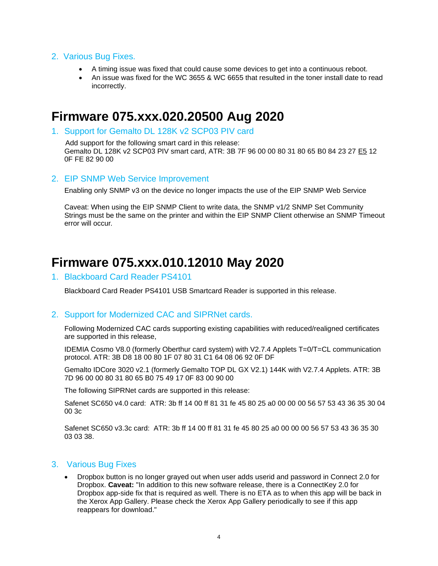#### <span id="page-7-0"></span>2. Various Bug Fixes.

- A timing issue was fixed that could cause some devices to get into a continuous reboot.
- An issue was fixed for the WC 3655 & WC 6655 that resulted in the toner install date to read incorrectly.

### <span id="page-7-1"></span>**Firmware 075.xxx.020.20500 Aug 2020**

<span id="page-7-2"></span>1. Support for Gemalto DL 128K v2 SCP03 PIV card

 Add support for the following smart card in this release: Gemalto DL 128K v2 SCP03 PIV smart card, ATR: 3B 7F 96 00 00 80 31 80 65 B0 84 23 27 E5 12 0F FE 82 90 00

### <span id="page-7-3"></span>2. EIP SNMP Web Service Improvement

Enabling only SNMP v3 on the device no longer impacts the use of the EIP SNMP Web Service

Caveat: When using the EIP SNMP Client to write data, the SNMP v1/2 SNMP Set Community Strings must be the same on the printer and within the EIP SNMP Client otherwise an SNMP Timeout error will occur*.*

### <span id="page-7-4"></span>**Firmware 075.xxx.010.12010 May 2020**

### <span id="page-7-5"></span>1. Blackboard Card Reader PS4101

Blackboard Card Reader PS4101 USB Smartcard Reader is supported in this release.

#### <span id="page-7-6"></span>2. Support for Modernized CAC and SIPRNet cards.

Following Modernized CAC cards supporting existing capabilities with reduced/realigned certificates are supported in this release,

IDEMIA Cosmo V8.0 (formerly Oberthur card system) with V2.7.4 Applets T=0/T=CL communication protocol. ATR: 3B D8 18 00 80 1F 07 80 31 C1 64 08 06 92 0F DF

Gemalto IDCore 3020 v2.1 (formerly Gemalto TOP DL GX V2.1) 144K with V2.7.4 Applets. ATR: 3B 7D 96 00 00 80 31 80 65 B0 75 49 17 0F 83 00 90 00

The following SIPRNet cards are supported in this release:

Safenet SC650 v4.0 card: ATR: 3b ff 14 00 ff 81 31 fe 45 80 25 a0 00 00 00 56 57 53 43 36 35 30 04 00 3c

Safenet SC650 v3.3c card: ATR: 3b ff 14 00 ff 81 31 fe 45 80 25 a0 00 00 00 56 57 53 43 36 35 30 03 03 38.

#### <span id="page-7-7"></span>3. Various Bug Fixes

• Dropbox button is no longer grayed out when user adds userid and password in Connect 2.0 for Dropbox. **Caveat:** "In addition to this new software release, there is a ConnectKey 2.0 for Dropbox app-side fix that is required as well. There is no ETA as to when this app will be back in the Xerox App Gallery. Please check the Xerox App Gallery periodically to see if this app reappears for download."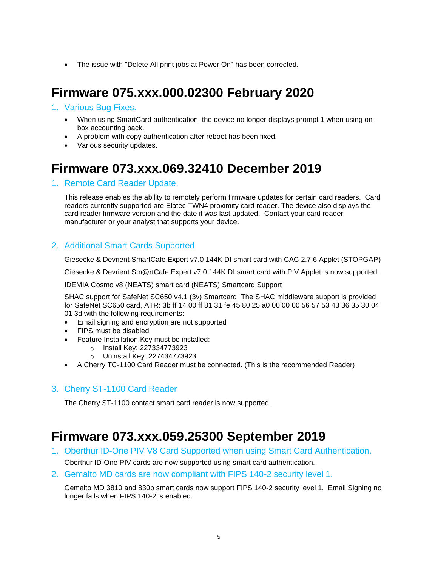• The issue with "Delete All print jobs at Power On" has been corrected.

# <span id="page-8-0"></span>**Firmware 075.xxx.000.02300 February 2020**

#### <span id="page-8-1"></span>1. Various Bug Fixes.

- When using SmartCard authentication, the device no longer displays prompt 1 when using onbox accounting back.
- A problem with copy authentication after reboot has been fixed.
- Various security updates.

### <span id="page-8-2"></span>**Firmware 073.xxx.069.32410 December 2019**

#### <span id="page-8-3"></span>1. Remote Card Reader Update.

This release enables the ability to remotely perform firmware updates for certain card readers. Card readers currently supported are Elatec TWN4 proximity card reader. The device also displays the card reader firmware version and the date it was last updated. Contact your card reader manufacturer or your analyst that supports your device.

### <span id="page-8-4"></span>2. Additional Smart Cards Supported

Giesecke & Devrient SmartCafe Expert v7.0 144K DI smart card with CAC 2.7.6 Applet (STOPGAP)

Giesecke & Devrient Sm@rtCafe Expert v7.0 144K DI smart card with PIV Applet is now supported.

IDEMIA Cosmo v8 (NEATS) smart card (NEATS) Smartcard Support

SHAC support for SafeNet SC650 v4.1 (3v) Smartcard. The SHAC middleware support is provided for SafeNet SC650 card, ATR: 3b ff 14 00 ff 81 31 fe 45 80 25 a0 00 00 00 56 57 53 43 36 35 30 04 01 3d with the following requirements:

- Email signing and encryption are not supported
- FIPS must be disabled
- Feature Installation Key must be installed:
	- o Install Key: 227334773923
	- o Uninstall Key: 227434773923
- A Cherry TC-1100 Card Reader must be connected. (This is the recommended Reader)

#### <span id="page-8-5"></span>3. Cherry ST-1100 Card Reader

The Cherry ST-1100 contact smart card reader is now supported.

### <span id="page-8-6"></span>**Firmware 073.xxx.059.25300 September 2019**

<span id="page-8-7"></span>1. Oberthur ID-One PIV V8 Card Supported when using Smart Card Authentication.

Oberthur ID-One PIV cards are now supported using smart card authentication.

<span id="page-8-8"></span>2. Gemalto MD cards are now compliant with FIPS 140-2 security level 1.

Gemalto MD 3810 and 830b smart cards now support FIPS 140-2 security level 1. Email Signing no longer fails when FIPS 140-2 is enabled.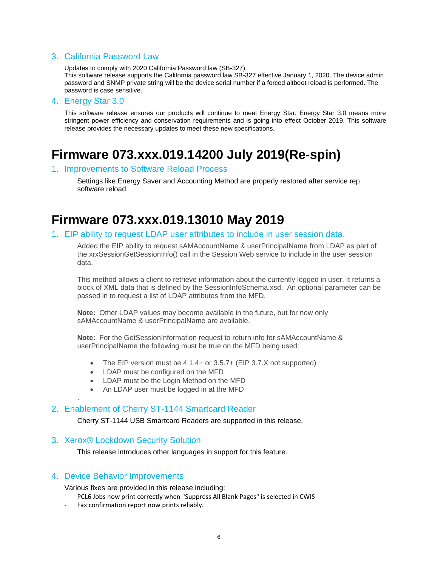#### <span id="page-9-0"></span>3. California Password Law

Updates to comply with 2020 California Password law (SB-327).

This software release supports the California password law SB-327 effective January 1, 2020. The device admin password and SNMP private string will be the device serial number if a forced altboot reload is performed. The password is case sensitive.

#### <span id="page-9-1"></span>4. Energy Star 3.0

This software release ensures our products will continue to meet Energy Star. Energy Star 3.0 means more stringent power efficiency and conservation requirements and is going into effect October 2019. This software release provides the necessary updates to meet these new specifications.

# <span id="page-9-2"></span>**Firmware 073.xxx.019.14200 July 2019(Re-spin)**

#### <span id="page-9-3"></span>1. Improvements to Software Reload Process

Settings like Energy Saver and Accounting Method are properly restored after service rep software reload.

### <span id="page-9-4"></span>**Firmware 073.xxx.019.13010 May 2019**

#### <span id="page-9-5"></span>1. EIP ability to request LDAP user attributes to include in user session data.

Added the EIP ability to request sAMAccountName & userPrincipalName from LDAP as part of the xrxSessionGetSessionInfo() call in the Session Web service to include in the user session data.

This method allows a client to retrieve information about the currently logged in user. It returns a block of XML data that is defined by the [SessionInfoSchema.xsd.](https://word-edit.officeapps.live.com/we/wsdl.html) An optional parameter can be passed in to request a list of LDAP attributes from the MFD.

**Note:** Other LDAP values may become available in the future, but for now only sAMAccountName & userPrincipalName are available.

**Note:** For the GetSessionInformation request to return info for sAMAccountName & userPrincipalName the following must be true on the MFD being used:

- The EIP version must be 4.1.4+ or 3.5.7+ (EIP 3.7.X not supported)
- LDAP must be configured on the MFD
- LDAP must be the Login Method on the MFD
- An LDAP user must be logged in at the MFD

#### <span id="page-9-6"></span>2. Enablement of Cherry ST-1144 Smartcard Reader

Cherry ST-1144 USB Smartcard Readers are supported in this release.

#### <span id="page-9-7"></span>3. Xerox® Lockdown Security Solution

This release introduces other languages in support for this feature.

#### <span id="page-9-8"></span>4. Device Behavior Improvements

.

Various fixes are provided in this release including:

- PCL6 Jobs now print correctly when "Suppress All Blank Pages" is selected in CWIS
- Fax confirmation report now prints reliably.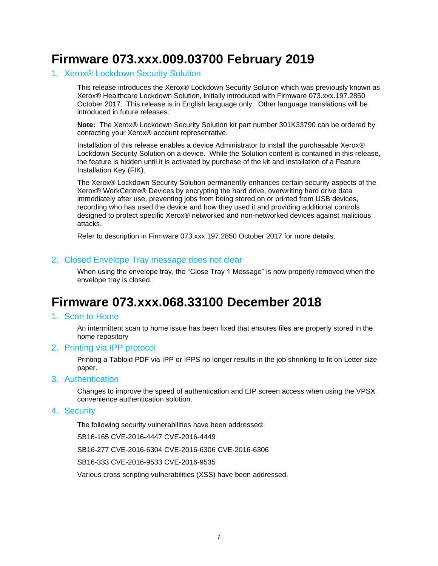# <span id="page-10-0"></span>**Firmware 073.xxx.009.03700 February 2019**

### <span id="page-10-1"></span>1. Xerox® Lockdown Security Solution

This release introduces the Xerox® Lockdown Security Solution which was previously known as Xerox® Healthcare Lockdown Solution, initially introduced with Firmware 073.xxx.197.2850 October 2017. This release is in English language only. Other language translations will be introduced in future releases.

**Note:** The Xerox® Lockdown Security Solution kit part number 301K33790 can be ordered by contacting your Xerox® account representative.

Installation of this release enables a device Administrator to install the purchasable Xerox® Lockdown Security Solution on a device. While the Solution content is contained in this release, the feature is hidden until it is activated by purchase of the kit and installation of a Feature Installation Key (FIK).

The Xerox® Lockdown Security Solution permanently enhances certain security aspects of the Xerox® WorkCentre® Devices by encrypting the hard drive, overwriting hard drive data immediately after use, preventing jobs from being stored on or printed from USB devices, recording who has used the device and how they used it and providing additional controls designed to protect specific Xerox® networked and non-networked devices against malicious attacks.

Refer to description in Firmware 073.xxx.197.2850 October 2017 for more details.

### <span id="page-10-2"></span>2. Closed Envelope Tray message does not clear

When using the envelope tray, the "Close Tray 1 Message" is now properly removed when the envelope tray is closed.

### <span id="page-10-3"></span>**Firmware 073.xxx.068.33100 December 2018**

### <span id="page-10-4"></span>1. Scan to Home

An intermittent scan to home issue has been fixed that ensures files are properly stored in the home repository

#### <span id="page-10-5"></span>2. Printing via IPP protocol

Printing a Tabloid PDF via IPP or IPPS no longer results in the job shrinking to fit on Letter size paper.

#### <span id="page-10-6"></span>3. Authentication

Changes to improve the speed of authentication and EIP screen access when using the VPSX convenience authentication solution.

#### <span id="page-10-7"></span>4. Security

The following security vulnerabilities have been addressed:

SB16-165 CVE-2016-4447 CVE-2016-4449

SB16-277 CVE-2016-6304 CVE-2016-6306 CVE-2016-6306

SB16-333 CVE-2016-9533 CVE-2016-9535

Various cross scripting vulnerabilities (XSS) have been addressed.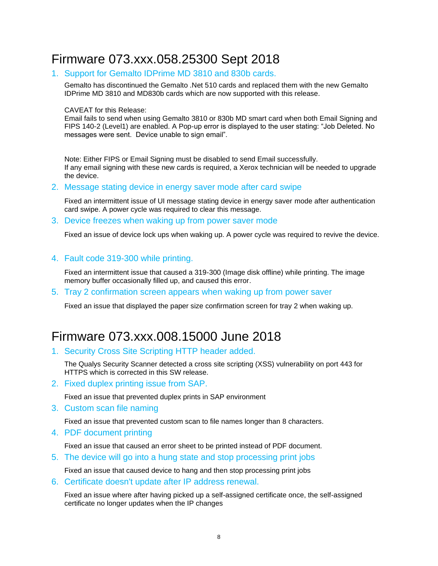# <span id="page-11-0"></span>Firmware 073.xxx.058.25300 Sept 2018

### <span id="page-11-1"></span>1. Support for Gemalto IDPrime MD 3810 and 830b cards.

Gemalto has discontinued the Gemalto .Net 510 cards and replaced them with the new Gemalto IDPrime MD 3810 and MD830b cards which are now supported with this release.

#### CAVEAT for this Release:

Email fails to send when using Gemalto 3810 or 830b MD smart card when both Email Signing and FIPS 140-2 (Level1) are enabled. A Pop-up error is displayed to the user stating: "Job Deleted. No messages were sent. Device unable to sign email".

Note: Either FIPS or Email Signing must be disabled to send Email successfully. If any email signing with these new cards is required, a Xerox technician will be needed to upgrade the device.

#### <span id="page-11-2"></span>2. Message stating device in energy saver mode after card swipe

Fixed an intermittent issue of UI message stating device in energy saver mode after authentication card swipe. A power cycle was required to clear this message.

<span id="page-11-3"></span>3. Device freezes when waking up from power saver mode

Fixed an issue of device lock ups when waking up. A power cycle was required to revive the device.

#### <span id="page-11-4"></span>4. Fault code 319-300 while printing.

Fixed an intermittent issue that caused a 319-300 (Image disk offline) while printing. The image memory buffer occasionally filled up, and caused this error.

<span id="page-11-5"></span>5. Tray 2 confirmation screen appears when waking up from power saver

Fixed an issue that displayed the paper size confirmation screen for tray 2 when waking up.

# <span id="page-11-6"></span>Firmware 073.xxx.008.15000 June 2018

<span id="page-11-7"></span>1. Security Cross Site Scripting HTTP header added.

The Qualys Security Scanner detected a cross site scripting (XSS) vulnerability on port 443 for HTTPS which is corrected in this SW release.

<span id="page-11-8"></span>2. Fixed duplex printing issue from SAP.

Fixed an issue that prevented duplex prints in SAP environment

<span id="page-11-9"></span>3. Custom scan file naming

Fixed an issue that prevented custom scan to file names longer than 8 characters.

<span id="page-11-10"></span>4. PDF document printing

Fixed an issue that caused an error sheet to be printed instead of PDF document.

<span id="page-11-11"></span>5. The device will go into a hung state and stop processing print jobs

Fixed an issue that caused device to hang and then stop processing print jobs

<span id="page-11-12"></span>6. Certificate doesn't update after IP address renewal.

Fixed an issue where after having picked up a self-assigned certificate once, the self-assigned certificate no longer updates when the IP changes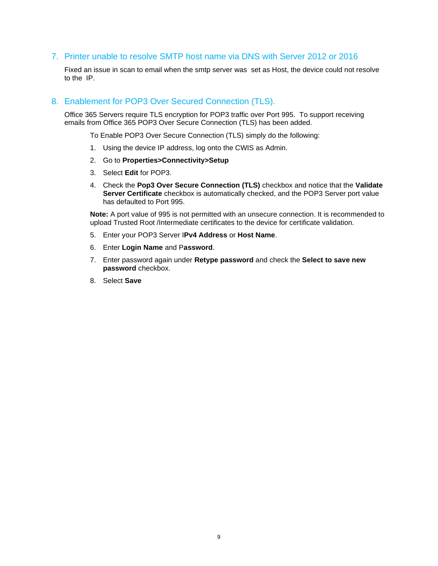### <span id="page-12-0"></span>7. Printer unable to resolve SMTP host name via DNS with Server 2012 or 2016

Fixed an issue in scan to email when the smtp server was set as Host, the device could not resolve to the IP.

#### <span id="page-12-1"></span>8. Enablement for POP3 Over Secured Connection (TLS).

Office 365 Servers require TLS encryption for POP3 traffic over Port 995. To support receiving emails from Office 365 POP3 Over Secure Connection (TLS) has been added.

To Enable POP3 Over Secure Connection (TLS) simply do the following:

- 1. Using the device IP address, log onto the CWIS as Admin.
- 2. Go to **Properties>Connectivity>Setup**
- 3. Select **Edit** for POP3.
- 4. Check the **Pop3 Over Secure Connection (TLS)** checkbox and notice that the **Validate Server Certificate** checkbox is automatically checked, and the POP3 Server port value has defaulted to Port 995.

**Note:** A port value of 995 is not permitted with an unsecure connection. It is recommended to upload Trusted Root /Intermediate certificates to the device for certificate validation.

- 5. Enter your POP3 Server I**Pv4 Address** or **Host Name**.
- 6. Enter **Login Name** and P**assword**.
- 7. Enter password again under **Retype password** and check the **Select to save new password** checkbox.
- 8. Select **Save**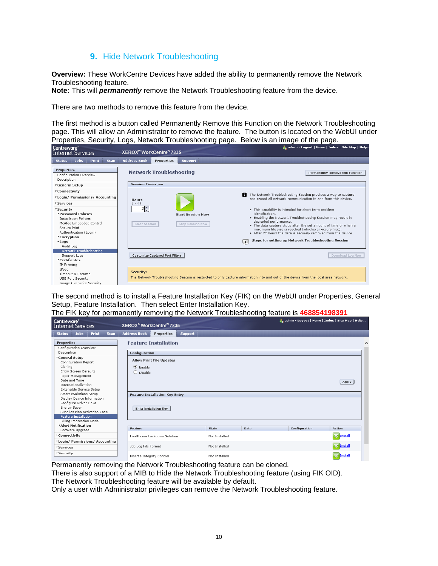### **9.** Hide Network Troubleshooting

<span id="page-13-0"></span>**Overview:** These WorkCentre Devices have added the ability to permanently remove the Network Troubleshooting feature.

**Note:** This will *permanently* remove the Network Troubleshooting feature from the device.

There are two methods to remove this feature from the device.

The first method is a button called Permanently Remove this Function on the Network Troubleshooting page. This will allow an Administrator to remove the feature. The button is located on the WebUI under Properties, Security, Logs, Network Troubleshooting page. Below is an image of the page.

| Centreware®<br><b>Internet Services</b>                                               |                                                                          |                                |             | XEROX <sup>®</sup> WorkCentre <sup>®</sup> 7835       |                                        |                                                     | . admin - Logout   Home   Index   Site Map   Help                                                                                                                                                                                                                                                       |                                  |  |  |
|---------------------------------------------------------------------------------------|--------------------------------------------------------------------------|--------------------------------|-------------|-------------------------------------------------------|----------------------------------------|-----------------------------------------------------|---------------------------------------------------------------------------------------------------------------------------------------------------------------------------------------------------------------------------------------------------------------------------------------------------------|----------------------------------|--|--|
| <b>Status</b>                                                                         | <b>Jobs</b>                                                              | Print                          | <b>Scan</b> | <b>Address Book</b>                                   | <b>Properties</b>                      | <b>Support</b>                                      |                                                                                                                                                                                                                                                                                                         |                                  |  |  |
| <b>Properties</b><br>Description<br>General Setup                                     | Configuration Overview                                                   |                                |             | <b>Session Timespan</b>                               | <b>Network Troubleshooting</b>         |                                                     |                                                                                                                                                                                                                                                                                                         | Permanently Remove this Function |  |  |
| Connectivity<br><b>Login/ Permissions/ Accounting</b><br><b>Services</b><br>*Security | <b>Password Policies</b><br><b>Installation Policies</b>                 | McAfee Embedded Control        |             | <b>Hours</b><br>$1 - 48$<br>$2 \div$<br>Clear Session |                                        | <b>Start Session Now</b><br><b>Stop Session Now</b> | The Network Troubleshooting Session provides a way to capture<br>A<br>and record all network communication to and from this device.<br>. This capability is intended for short term problem<br>identification.<br>. Enabling the Network Troubleshooting Session may result in<br>degraded performance. |                                  |  |  |
| Secure Print<br>▶ Encryption<br>$\blacktriangleright$ Logs<br>Audit Log               | Authentication (Login)                                                   |                                |             |                                                       |                                        |                                                     | . The data capture stops after the set amount of time or when a<br>maximum file size is reached (whichever occurs first).<br>• After 72 hours the data is securely removed from the device.<br>Steps for setting up Network Troubleshooting Session<br>$\Box$                                           |                                  |  |  |
| Certificates<br>IP Filtering                                                          | Support Logs                                                             | <b>Network Troubleshooting</b> |             |                                                       | <b>Customize Captured Port Filters</b> |                                                     |                                                                                                                                                                                                                                                                                                         | Download Log Now                 |  |  |
| <b>TPsec</b>                                                                          | Timeout & Resume<br><b>USB Port Security</b><br>Image Overwrite Security |                                |             | Security:                                             |                                        |                                                     | The Network Troubleshooting Session is restricted to only capture information into and out of the device from the local area network.                                                                                                                                                                   |                                  |  |  |

The second method is to install a Feature Installation Key (FIK) on the WebUI under Properties, General Setup, Feature Installation. Then select Enter Installation Key.

|  |  |  |  |  |  |  |  | The FIK key for permanently removing the Network Troubleshooting feature is 468854198391 |
|--|--|--|--|--|--|--|--|------------------------------------------------------------------------------------------|
|--|--|--|--|--|--|--|--|------------------------------------------------------------------------------------------|

| Centreware <sup>®</sup><br>Internet Services                                                                                         | XEROX <sup>®</sup> WorkCentre® 7835                                     |                |         | <b>A</b> admin - Logout   Home   Index   Site Map   Help |                  |
|--------------------------------------------------------------------------------------------------------------------------------------|-------------------------------------------------------------------------|----------------|---------|----------------------------------------------------------|------------------|
| <b>Jobs</b><br>Print<br><b>Status</b><br><b>Scan</b>                                                                                 | <b>Address Book</b><br><b>Properties</b>                                | <b>Support</b> |         |                                                          |                  |
| <b>Properties</b><br>Configuration Overview                                                                                          | <b>Feature Installation</b>                                             |                |         |                                                          |                  |
| Description                                                                                                                          | Configuration                                                           |                |         |                                                          |                  |
| ▼General Setup<br>Configuration Report<br>Cloning<br>Entry Screen Defaults<br>Paper Management<br>Date and Time                      | <b>Allow Print File Updates</b><br>$\odot$ Enable<br>$\bigcirc$ Disable |                |         |                                                          | Apply            |
| Internationalization<br>Extensible Service Setup<br>SMart eSolutions Setup                                                           |                                                                         |                |         |                                                          |                  |
| Display Device Information<br>Configure Driver Links<br>Energy Saver<br>Supplies Plan Activation Code<br><b>Feature Installation</b> | <b>Feature Installation Key Entry</b><br>Enter Installation Key         |                |         |                                                          |                  |
| Billing Impression Mode                                                                                                              |                                                                         |                |         |                                                          |                  |
| Alert Notification                                                                                                                   | Feature                                                                 | State          | Date    | Configuration                                            | <b>Action</b>    |
| Software Upgrade                                                                                                                     |                                                                         |                |         |                                                          |                  |
| ▶ Connectivity                                                                                                                       | Healthcare Lockdown Solution                                            | Not Installed  | Install |                                                          |                  |
| Login/ Permissions/ Accounting<br>Services                                                                                           | Job Log File Format                                                     | Not Installed  |         |                                                          | <b>V</b> Install |
| Security                                                                                                                             | McAfee Integrity Control                                                | Not Installed  |         |                                                          | Install          |

Permanently removing the Network Troubleshooting feature can be cloned.

There is also support of a MIB to Hide the Network Troubleshooting feature (using FIK OID).

The Network Troubleshooting feature will be available by default.

Only a user with Administrator privileges can remove the Network Troubleshooting feature.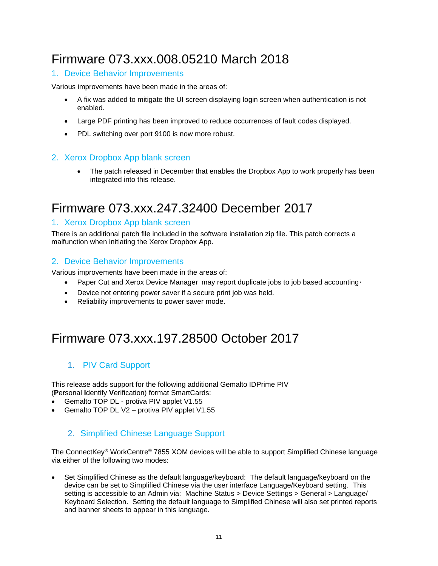# <span id="page-14-0"></span>Firmware 073.xxx.008.05210 March 2018

### <span id="page-14-1"></span>1. Device Behavior Improvements

Various improvements have been made in the areas of:

- A fix was added to mitigate the UI screen displaying login screen when authentication is not enabled.
- Large PDF printing has been improved to reduce occurrences of fault codes displayed.
- PDL switching over port 9100 is now more robust.

### <span id="page-14-2"></span>2. Xerox Dropbox App blank screen

• The patch released in December that enables the Dropbox App to work properly has been integrated into this release.

# <span id="page-14-3"></span>Firmware 073.xxx.247.32400 December 2017

### <span id="page-14-4"></span>1. Xerox Dropbox App blank screen

There is an additional patch file included in the software installation zip file. This patch corrects a malfunction when initiating the Xerox Dropbox App.

### <span id="page-14-5"></span>2. Device Behavior Improvements

Various improvements have been made in the areas of:

- Paper Cut and Xerox Device Manager may report duplicate jobs to job based accounting*.*
- Device not entering power saver if a secure print job was held.
- Reliability improvements to power saver mode.

# <span id="page-14-6"></span>Firmware 073.xxx.197.28500 October 2017

### <span id="page-14-7"></span>1. PIV Card Support

This release adds support for the following additional Gemalto IDPrime PIV (**P**ersonal **I**dentify **V**erification) format SmartCards:

- Gemalto TOP DL protiva PIV applet V1.55
- Gemalto TOP DL V2 protiva PIV applet V1.55

### <span id="page-14-8"></span>2. Simplified Chinese Language Support

The ConnectKey® WorkCentre® 7855 XOM devices will be able to support Simplified Chinese language via either of the following two modes:

• Set Simplified Chinese as the default language/keyboard: The default language/keyboard on the device can be set to Simplified Chinese via the user interface Language/Keyboard setting. This setting is accessible to an Admin via: Machine Status > Device Settings > General > Language/ Keyboard Selection. Setting the default language to Simplified Chinese will also set printed reports and banner sheets to appear in this language.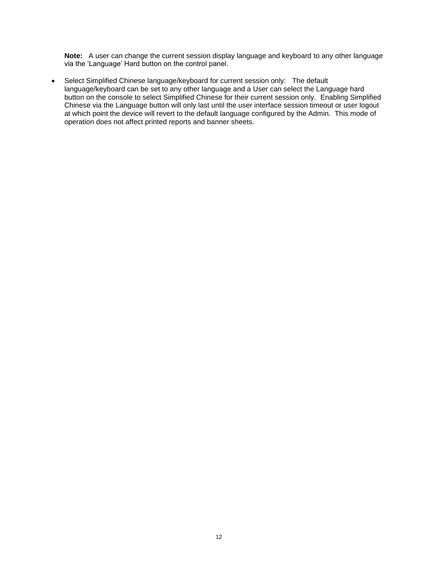**Note:** A user can change the current session display language and keyboard to any other language via the 'Language' Hard button on the control panel.

• Select Simplified Chinese language/keyboard for current session only: The default language/keyboard can be set to any other language and a User can select the Language hard button on the console to select Simplified Chinese for their current session only. Enabling Simplified Chinese via the Language button will only last until the user interface session timeout or user logout at which point the device will revert to the default language configured by the Admin. This mode of operation does not affect printed reports and banner sheets.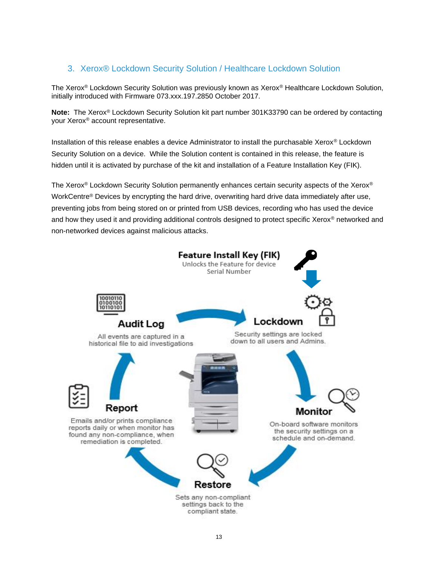### <span id="page-16-0"></span>3. Xerox® Lockdown Security Solution / Healthcare Lockdown Solution

The Xerox® Lockdown Security Solution was previously known as Xerox® Healthcare Lockdown Solution, initially introduced with Firmware 073.xxx.197.2850 October 2017.

**Note:** The Xerox® Lockdown Security Solution kit part number 301K33790 can be ordered by contacting your Xerox® account representative.

Installation of this release enables a device Administrator to install the purchasable Xerox® Lockdown Security Solution on a device. While the Solution content is contained in this release, the feature is hidden until it is activated by purchase of the kit and installation of a Feature Installation Key (FIK).

The Xerox® Lockdown Security Solution permanently enhances certain security aspects of the Xerox® WorkCentre® Devices by encrypting the hard drive, overwriting hard drive data immediately after use, preventing jobs from being stored on or printed from USB devices, recording who has used the device and how they used it and providing additional controls designed to protect specific Xerox<sup>®</sup> networked and non-networked devices against malicious attacks.

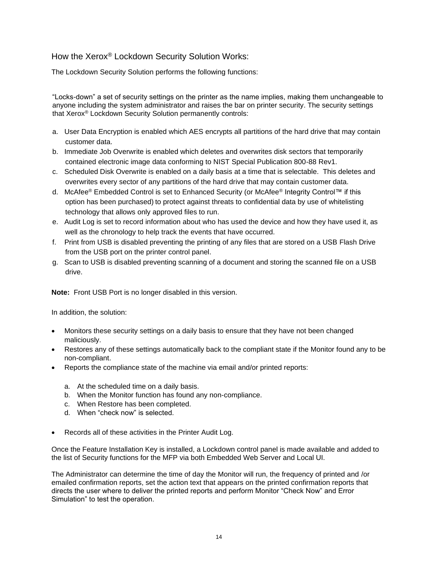### How the Xerox® Lockdown Security Solution Works:

The Lockdown Security Solution performs the following functions:

"Locks-down" a set of security settings on the printer as the name implies, making them unchangeable to anyone including the system administrator and raises the bar on printer security. The security settings that Xerox® Lockdown Security Solution permanently controls:

- a. User Data Encryption is enabled which AES encrypts all partitions of the hard drive that may contain customer data.
- b. Immediate Job Overwrite is enabled which deletes and overwrites disk sectors that temporarily contained electronic image data conforming to NIST Special Publication 800-88 Rev1.
- c. Scheduled Disk Overwrite is enabled on a daily basis at a time that is selectable. This deletes and overwrites every sector of any partitions of the hard drive that may contain customer data.
- d. McAfee® Embedded Control is set to Enhanced Security (or McAfee® Integrity Control™ if this option has been purchased) to protect against threats to confidential data by use of whitelisting technology that allows only approved files to run.
- e. Audit Log is set to record information about who has used the device and how they have used it, as well as the chronology to help track the events that have occurred.
- f. Print from USB is disabled preventing the printing of any files that are stored on a USB Flash Drive from the USB port on the printer control panel.
- g. Scan to USB is disabled preventing scanning of a document and storing the scanned file on a USB drive.

**Note:** Front USB Port is no longer disabled in this version.

In addition, the solution:

- Monitors these security settings on a daily basis to ensure that they have not been changed maliciously.
- Restores any of these settings automatically back to the compliant state if the Monitor found any to be non-compliant.
- Reports the compliance state of the machine via email and/or printed reports:
	- a. At the scheduled time on a daily basis.
	- b. When the Monitor function has found any non-compliance.
	- c. When Restore has been completed.
	- d. When "check now" is selected.
- Records all of these activities in the Printer Audit Log.

Once the Feature Installation Key is installed, a Lockdown control panel is made available and added to the list of Security functions for the MFP via both Embedded Web Server and Local UI.

The Administrator can determine the time of day the Monitor will run, the frequency of printed and /or emailed confirmation reports, set the action text that appears on the printed confirmation reports that directs the user where to deliver the printed reports and perform Monitor "Check Now" and Error Simulation" to test the operation.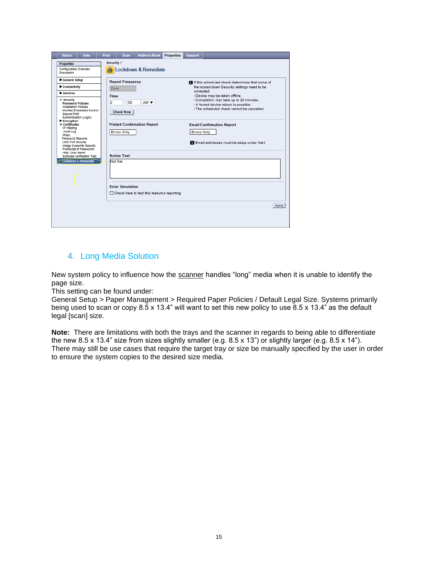| <b>Jobs</b><br><b>Status</b>                                                                                                                                                                                                                                                                                                                                                                                                                | <b>Address Book</b><br><b>Print</b><br>Properties<br><b>Support</b><br>Scan                                                                                                                                                                                                                                                                                                                                                                                                                                                                                                         |  |
|---------------------------------------------------------------------------------------------------------------------------------------------------------------------------------------------------------------------------------------------------------------------------------------------------------------------------------------------------------------------------------------------------------------------------------------------|-------------------------------------------------------------------------------------------------------------------------------------------------------------------------------------------------------------------------------------------------------------------------------------------------------------------------------------------------------------------------------------------------------------------------------------------------------------------------------------------------------------------------------------------------------------------------------------|--|
| Properties<br>Configuration Overview<br>Description                                                                                                                                                                                                                                                                                                                                                                                         | Security ><br><b>A</b> Lockdown & Remediate                                                                                                                                                                                                                                                                                                                                                                                                                                                                                                                                         |  |
| General Setup<br>Connectivity<br>Services<br>v security<br>Password Policies<br>Installation Policies<br>McAfee Embedded Control<br>Secure Print<br>Authentication (Login)<br>Encryption<br>v Certificates<br>IP Filtering<br>Audit Log<br><b>IPsec</b><br>Timeout & Resume<br>USB Port Security<br>Image Overwrite Security<br>PostScript @ Passwords<br>Hide 'User Name'<br>Software Verification Test<br><b>Lockdown &amp; Remediate</b> | <b>Report Frequency</b><br>If If this scheduled check determines that some of<br>the locked down Security settings need to be<br>Daily<br>corrected:<br>- Device may be taken offline.<br>Time<br>- Completion may take up to 20 minutes.<br>OD.<br>2<br>$AM$ $\blacktriangledown$<br>- A forced device reboot is possible.<br>- The scheduled check cannot be cancelled.<br><b>Check Now</b><br><b>Printed Confirmation Report</b><br><b>Email Confirmation Report</b><br>Errors Only<br>Errors Only<br>Email addresses must be setup under Alert<br><b>Action Text</b><br>Not Set |  |
|                                                                                                                                                                                                                                                                                                                                                                                                                                             | <b>Error Simulation</b><br>□ Check here to test this feature's reporting<br>Apply                                                                                                                                                                                                                                                                                                                                                                                                                                                                                                   |  |

### <span id="page-18-0"></span>4. Long Media Solution

New system policy to influence how the scanner handles "long" media when it is unable to identify the page size.

This setting can be found under:

General Setup > Paper Management > Required Paper Policies / Default Legal Size. Systems primarily being used to scan or copy 8.5 x 13.4" will want to set this new policy to use 8.5 x 13.4" as the default legal [scan] size.

**Note:** There are limitations with both the trays and the scanner in regards to being able to differentiate the new 8.5 x 13.4" size from sizes slightly smaller (e.g. 8.5 x 13") or slightly larger (e.g. 8.5 x 14"). There may still be use cases that require the target tray or size be manually specified by the user in order to ensure the system copies to the desired size media.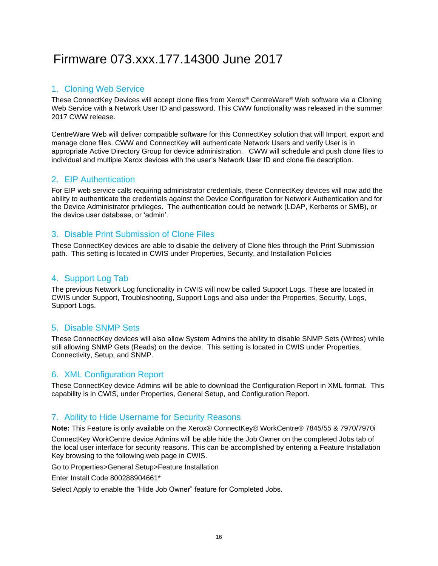# <span id="page-19-0"></span>Firmware 073.xxx.177.14300 June 2017

### <span id="page-19-1"></span>1. Cloning Web Service

These ConnectKey Devices will accept clone files from Xerox® CentreWare® Web software via a Cloning Web Service with a Network User ID and password. This CWW functionality was released in the summer 2017 CWW release.

CentreWare Web will deliver compatible software for this ConnectKey solution that will Import, export and manage clone files. CWW and ConnectKey will authenticate Network Users and verify User is in appropriate Active Directory Group for device administration. CWW will schedule and push clone files to individual and multiple Xerox devices with the user's Network User ID and clone file description.

### <span id="page-19-2"></span>2. EIP Authentication

For EIP web service calls requiring administrator credentials, these ConnectKey devices will now add the ability to authenticate the credentials against the Device Configuration for Network Authentication and for the Device Administrator privileges. The authentication could be network (LDAP, Kerberos or SMB), or the device user database, or 'admin'.

### <span id="page-19-3"></span>3. Disable Print Submission of Clone Files

These ConnectKey devices are able to disable the delivery of Clone files through the Print Submission path. This setting is located in CWIS under Properties, Security, and Installation Policies

### 4. Support Log Tab

The previous Network Log functionality in CWIS will now be called Support Logs. These are located in CWIS under Support, Troubleshooting, Support Logs and also under the Properties, Security, Logs, Support Logs.

### <span id="page-19-4"></span>5. Disable SNMP Sets

These ConnectKey devices will also allow System Admins the ability to disable SNMP Sets (Writes) while still allowing SNMP Gets (Reads) on the device. This setting is located in CWIS under Properties, Connectivity, Setup, and SNMP.

### <span id="page-19-5"></span>6. XML Configuration Report

These ConnectKey device Admins will be able to download the Configuration Report in XML format. This capability is in CWIS, under Properties, General Setup, and Configuration Report.

#### <span id="page-19-6"></span>7. Ability to Hide Username for Security Reasons

**Note:** This Feature is only available on the Xerox® ConnectKey® WorkCentre® 7845/55 & 7970/7970i

ConnectKey WorkCentre device Admins will be able hide the Job Owner on the completed Jobs tab of the local user interface for security reasons. This can be accomplished by entering a Feature Installation Key browsing to the following web page in CWIS.

Go to Properties>General Setup>Feature Installation

Enter Install Code 800288904661\*

Select Apply to enable the "Hide Job Owner" feature for Completed Jobs.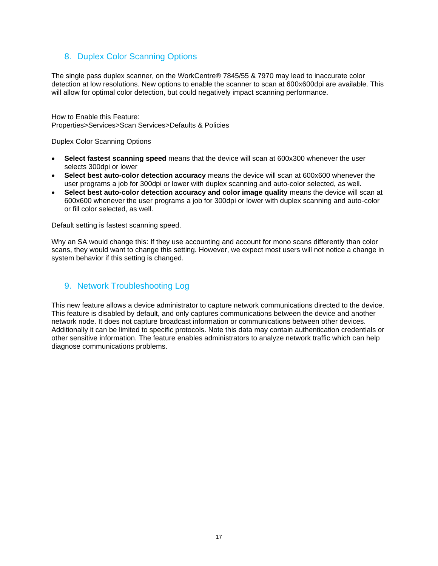### <span id="page-20-0"></span>8. Duplex Color Scanning Options

The single pass duplex scanner, on the WorkCentre® 7845/55 & 7970 may lead to inaccurate color detection at low resolutions. New options to enable the scanner to scan at 600x600dpi are available. This will allow for optimal color detection, but could negatively impact scanning performance.

How to Enable this Feature: Properties>Services>Scan Services>Defaults & Policies

Duplex Color Scanning Options

- **Select fastest scanning speed** means that the device will scan at 600x300 whenever the user selects 300dpi or lower
- **Select best auto-color detection accuracy** means the device will scan at 600x600 whenever the user programs a job for 300dpi or lower with duplex scanning and auto-color selected, as well.
- **Select best auto-color detection accuracy and color image quality** means the device will scan at 600x600 whenever the user programs a job for 300dpi or lower with duplex scanning and auto-color or fill color selected, as well.

Default setting is fastest scanning speed.

Why an SA would change this: If they use accounting and account for mono scans differently than color scans, they would want to change this setting. However, we expect most users will not notice a change in system behavior if this setting is changed.

### <span id="page-20-1"></span>9. Network Troubleshooting Log

This new feature allows a device administrator to capture network communications directed to the device. This feature is disabled by default, and only captures communications between the device and another network node. It does not capture broadcast information or communications between other devices. Additionally it can be limited to specific protocols. Note this data may contain authentication credentials or other sensitive information. The feature enables administrators to analyze network traffic which can help diagnose communications problems.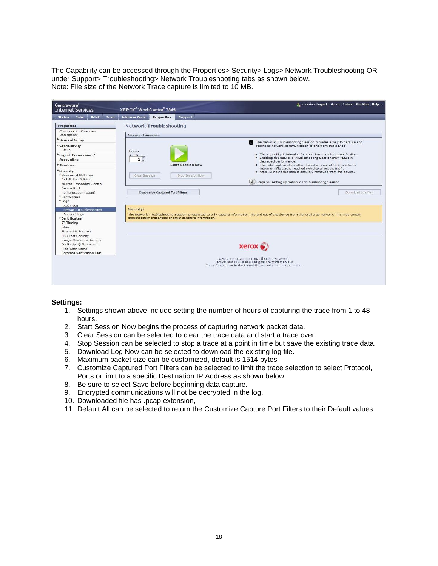The Capability can be accessed through the Properties> Security> Logs> Network Troubleshooting OR under Support> Troubleshooting> Network Troubleshooting tabs as shown below. Note: File size of the Network Trace capture is limited to 10 MB.

| <b>Centreware</b> <sup>®</sup><br><b>Internet Services</b>                                                                                                                                                                                                                                                                     | zadmin - Logout   Home   Index   Site Map   Help<br>XEROX <sup>®</sup> WorkCentre <sup>®</sup> 7845                                                                                                                                                                                                                                                                                                                                                                                                                                                                                                                                                                                                             |
|--------------------------------------------------------------------------------------------------------------------------------------------------------------------------------------------------------------------------------------------------------------------------------------------------------------------------------|-----------------------------------------------------------------------------------------------------------------------------------------------------------------------------------------------------------------------------------------------------------------------------------------------------------------------------------------------------------------------------------------------------------------------------------------------------------------------------------------------------------------------------------------------------------------------------------------------------------------------------------------------------------------------------------------------------------------|
| <b>Jobs</b><br>Print<br>Scan<br><b>Status</b>                                                                                                                                                                                                                                                                                  | <b>Address Book</b><br>Support<br>Properties                                                                                                                                                                                                                                                                                                                                                                                                                                                                                                                                                                                                                                                                    |
| Properties<br>Configuration Overview<br>Description<br>General Setup<br>*Connectivity<br>Setup<br><b>Login/Permissions/</b><br>Accounting<br>Services<br>*Security<br><b>Password Policies</b><br>Installation Policies<br>McAfee Embedded Control<br>Secure Print                                                             | <b>Network Troubleshooting</b><br><b>Session Timespan</b><br>The Network Troubleshooting Session provides a way to capture and<br>record all network communication to and from this device<br>Hours<br>. This capability is intended for short term problem identification.<br>$1 - 48$<br>. Enabling the Network Troubleshooting Session may result in<br>2<br>degraded performance.<br><b>Start Session Now</b><br>. The data capture stops after the set amount of time or when a<br>maximum file size is reached (whichever occurs first).<br>. After 72 hours the data is securely removed from the device.<br>Clear Session<br>Stop Session Now<br>i Steps for setting up Network Troubleshooting Session |
| Authentication (Login)<br><sup>*</sup> Encryption<br>*Logs<br>Audit Log<br>Network Troubleshooting<br>Support Logs<br>Certificates<br>IP Filtering<br>IP <sub>SC</sub><br>Timeout & Resume<br><b>USB Port Security</b><br>Image Overwrite Security<br>PostScript ® Passwords<br>Hide 'User Name'<br>Software Verification Test | <b>Customize Captured Port Filters</b><br>Down load Log Now<br>Security:<br>The Network Troubleshooting Session is restricted to only capture information into and out of the device from the local area network. This may contain<br>authentication credentials or other sensitive information.<br>$xer$ $\alpha$<br>@2017 Xerox Corporation. All Rights Reserved.<br>Xerox® and XEROX and Design® are trademarks of<br>Xerox Corporation in the United States and / or other countries.                                                                                                                                                                                                                       |

#### **Settings:**

- 1. Settings shown above include setting the number of hours of capturing the trace from 1 to 48 hours.
- 2. Start Session Now begins the process of capturing network packet data.
- 3. Clear Session can be selected to clear the trace data and start a trace over.
- 4. Stop Session can be selected to stop a trace at a point in time but save the existing trace data.
- 5. Download Log Now can be selected to download the existing log file.
- 6. Maximum packet size can be customized, default is 1514 bytes
- 7. Customize Captured Port Filters can be selected to limit the trace selection to select Protocol, Ports or limit to a specific Destination IP Address as shown below.
- 8. Be sure to select Save before beginning data capture.
- 9. Encrypted communications will not be decrypted in the log.
- 10. Downloaded file has .pcap extension,
- 11. Default All can be selected to return the Customize Capture Port Filters to their Default values.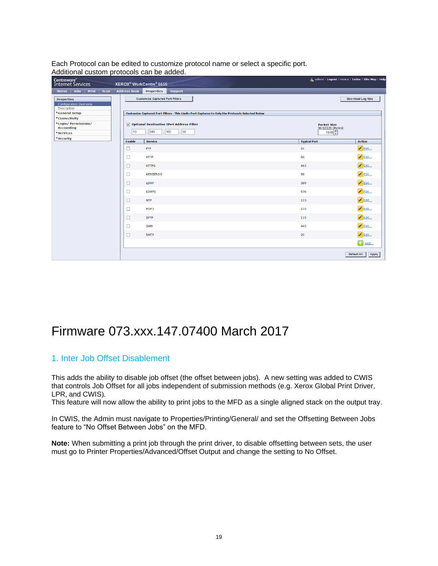Each Protocol can be edited to customize protocol name or select a specific port. Additional custom protocols can be added.

| Centreware <sup>®</sup><br>Internet Services                      |                     | XEROX <sup>®</sup> WorkCentre® 6655                                                              |                           | admin - Logout   Home   Index   Site Map   Help |
|-------------------------------------------------------------------|---------------------|--------------------------------------------------------------------------------------------------|---------------------------|-------------------------------------------------|
| <b>Jobs</b><br>Print<br><b>Scan</b><br><b>Status</b>              | <b>Address Book</b> | <b>Properties</b><br><b>Support</b>                                                              |                           |                                                 |
| <b>Properties</b><br><b>Configuration Overview</b><br>Description |                     | <b>Customize Captured Port Filters</b>                                                           |                           | Download Log Now                                |
| General Setup                                                     |                     | Customize Captured Port Filters - This Limits Port Captures to Only the Protocols Selected Below |                           |                                                 |
| <sup>*</sup> Connectivity<br><b>Login/Permissions/</b>            |                     | $\sqrt{ }$ Optional Destination IPv4 Address Filter                                              | <b>Packet Size</b>        |                                                 |
| <b>Accounting</b><br><b>Services</b>                              | 13                  | 56<br>249<br>165                                                                                 | 96-65535 (Bytes)<br>1518  |                                                 |
| <b>Security</b>                                                   |                     |                                                                                                  |                           |                                                 |
|                                                                   | <b>Enable</b>       | <b>Service</b><br><b>FTP</b>                                                                     | <b>Typical Port</b><br>21 | <b>Action</b><br>$\mathscr{L}$ Edit             |
|                                                                   | □                   |                                                                                                  |                           |                                                 |
|                                                                   | □                   | <b>HTTP</b>                                                                                      | 80                        | $\mathscr{L}$ Edit                              |
|                                                                   | □                   | <b>HTTPS</b>                                                                                     | 443                       | Bdit                                            |
|                                                                   | □                   | <b>KERBEROS</b>                                                                                  | 88                        | $\mathscr{L}$ Edit                              |
|                                                                   | □                   | LDAP                                                                                             | 389                       | $\mathscr{L}$ Edit                              |
|                                                                   | □                   | <b>LDAPS</b>                                                                                     | 636                       | $\mathscr{P}$ Edit                              |
|                                                                   | □                   | <b>NTP</b>                                                                                       | 123                       | $\angle$ Edit                                   |
|                                                                   | □                   | POP3                                                                                             | 110                       | $\mathscr{L}$ Edit                              |
|                                                                   | □                   | <b>SFTP</b>                                                                                      | 115                       | $\mathscr{B}$ Edit                              |
|                                                                   | □                   | <b>SMB</b>                                                                                       | 445                       | Bdit                                            |
|                                                                   | □                   | <b>SMTP</b>                                                                                      | 25                        | $\blacksquare$ Edit                             |
|                                                                   |                     |                                                                                                  |                           | $\Box$ Add                                      |
|                                                                   |                     |                                                                                                  |                           | Default All<br>Apply                            |

### <span id="page-22-0"></span>Firmware 073.xxx.147.07400 March 2017

### <span id="page-22-1"></span>1. Inter Job Offset Disablement

This adds the ability to disable job offset (the offset between jobs). A new setting was added to CWIS that controls Job Offset for all jobs independent of submission methods (e.g. Xerox Global Print Driver, LPR, and CWIS).

This feature will now allow the ability to print jobs to the MFD as a single aligned stack on the output tray.

In CWIS, the Admin must navigate to Properties/Printing/General/ and set the Offsetting Between Jobs feature to "No Offset Between Jobs" on the MFD.

**Note:** When submitting a print job through the print driver, to disable offsetting between sets, the user must go to Printer Properties/Advanced/Offset Output and change the setting to No Offset.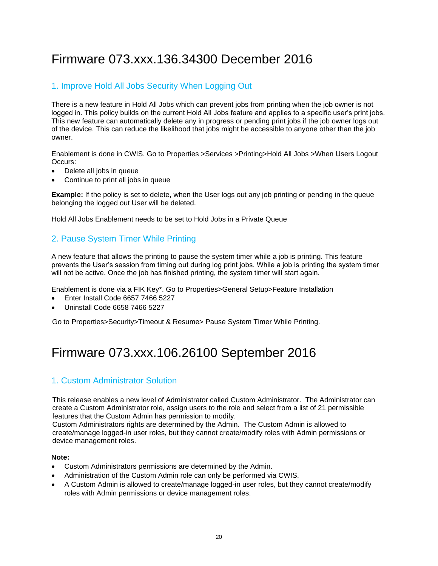# <span id="page-23-0"></span>Firmware 073.xxx.136.34300 December 2016

### <span id="page-23-1"></span>1. Improve Hold All Jobs Security When Logging Out

There is a new feature in Hold All Jobs which can prevent jobs from printing when the job owner is not logged in. This policy builds on the current Hold All Jobs feature and applies to a specific user's print jobs. This new feature can automatically delete any in progress or pending print jobs if the job owner logs out of the device. This can reduce the likelihood that jobs might be accessible to anyone other than the job owner.

Enablement is done in CWIS. Go to Properties >Services >Printing>Hold All Jobs >When Users Logout Occurs:

- Delete all jobs in queue
- Continue to print all jobs in queue

**Example:** If the policy is set to delete, when the User logs out any job printing or pending in the queue belonging the logged out User will be deleted.

Hold All Jobs Enablement needs to be set to Hold Jobs in a Private Queue

### <span id="page-23-2"></span>2. Pause System Timer While Printing

A new feature that allows the printing to pause the system timer while a job is printing. This feature prevents the User's session from timing out during log print jobs. While a job is printing the system timer will not be active. Once the job has finished printing, the system timer will start again.

Enablement is done via a FIK Key\*. Go to Properties>General Setup>Feature Installation

- Enter Install Code 6657 7466 5227
- Uninstall Code 6658 7466 5227

Go to Properties>Security>Timeout & Resume> Pause System Timer While Printing.

### <span id="page-23-3"></span>Firmware 073.xxx.106.26100 September 2016

### <span id="page-23-4"></span>1. Custom Administrator Solution

This release enables a new level of Administrator called Custom Administrator. The Administrator can create a Custom Administrator role, assign users to the role and select from a list of 21 permissible features that the Custom Admin has permission to modify.

Custom Administrators rights are determined by the Admin. The Custom Admin is allowed to create/manage logged-in user roles, but they cannot create/modify roles with Admin permissions or device management roles.

#### **Note:**

- Custom Administrators permissions are determined by the Admin.
- Administration of the Custom Admin role can only be performed via CWIS.
- A Custom Admin is allowed to create/manage logged-in user roles, but they cannot create/modify roles with Admin permissions or device management roles.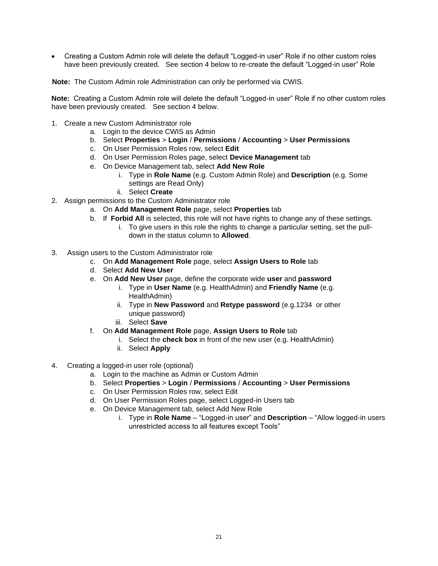• Creating a Custom Admin role will delete the default "Logged-in user" Role if no other custom roles have been previously created. See section 4 below to re-create the default "Logged-in user" Role

**Note:** The Custom Admin role Administration can only be performed via CWIS.

**Note:** Creating a Custom Admin role will delete the default "Logged-in user" Role if no other custom roles have been previously created. See section 4 below.

- 1. Create a new Custom Administrator role
	- a. Login to the device CWIS as Admin
	- b. Select **Properties** > **Login** / **Permissions** / **Accounting** > **User Permissions**
	- c. On User Permission Roles row, select **Edit**
	- d. On User Permission Roles page, select **Device Management** tab
	- e. On Device Management tab, select **Add New Role**
		- i. Type in **Role Name** (e.g. Custom Admin Role) and **Description** (e.g. Some settings are Read Only)
		- ii. Select **Create**
- 2. Assign permissions to the Custom Administrator role
	- a. On **Add Management Role** page, select **Properties** tab
	- b. If **Forbid All** is selected, this role will not have rights to change any of these settings. i. To give users in this role the rights to change a particular setting, set the pull
		- down in the status column to **Allowed**.
- 3. Assign users to the Custom Administrator role
	- c. On **Add Management Role** page, select **Assign Users to Role** tab
	- d. Select **Add New User**
	- e. On **Add New User** page, define the corporate wide **user** and **password**
		- i. Type in **User Name** (e.g. HealthAdmin) and **Friendly Name** (e.g. HealthAdmin)
		- ii. Type in **New Password** and **Retype password** (e.g.1234 or other unique password)
		- iii. Select **Save**
	- f. On **Add Management Role** page, **Assign Users to Role** tab
		- i. Select the **check box** in front of the new user (e.g. HealthAdmin)
		- ii. Select **Apply**
- 4. Creating a logged-in user role (optional)
	- a. Login to the machine as Admin or Custom Admin
	- b. Select **Properties** > **Login** / **Permissions** / **Accounting** > **User Permissions**
	- c. On User Permission Roles row, select Edit
	- d. On User Permission Roles page, select Logged-in Users tab
	- e. On Device Management tab, select Add New Role
		- i. Type in **Role Name** "Logged-in user" and **Description** "Allow logged-in users unrestricted access to all features except Tools"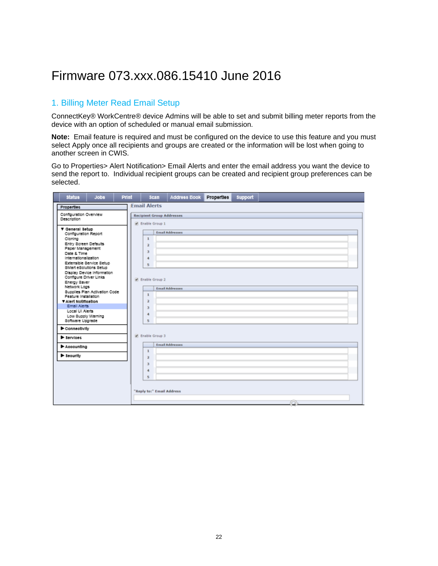# <span id="page-25-0"></span>Firmware 073.xxx.086.15410 June 2016

### <span id="page-25-1"></span>1. Billing Meter Read Email Setup

ConnectKey® WorkCentre® device Admins will be able to set and submit billing meter reports from the device with an option of scheduled or manual email submission.

**Note:** Email feature is required and must be configured on the device to use this feature and you must select Apply once all recipients and groups are created or the information will be lost when going to another screen in CWIS.

Go to Properties> Alert Notification> Email Alerts and enter the email address you want the device to send the report to. Individual recipient groups can be created and recipient group preferences can be selected.

| <b>Status</b>                                                                                                                                                                              | <b>Jobs</b>                                            | Print | <b>Scan</b>                                                                              | Address Book                     | <b>Properties</b> | <b>Support</b> |    |
|--------------------------------------------------------------------------------------------------------------------------------------------------------------------------------------------|--------------------------------------------------------|-------|------------------------------------------------------------------------------------------|----------------------------------|-------------------|----------------|----|
| Properties                                                                                                                                                                                 |                                                        |       | <b>Email Alerts</b>                                                                      |                                  |                   |                |    |
| Configuration Overview<br>Description                                                                                                                                                      |                                                        |       | M Enable Group 1                                                                         | <b>Recipient Group Addresses</b> |                   |                |    |
| ▼ General Setup<br>Configuration Report<br>Cloning<br>Entry Screen Defaults<br>Paper Management<br>Date & Time<br>internationalization<br>SMart eSolutions Setup<br>Configure Driver Links | Extensible Service Setup<br>Display Device Information |       | $\mathbf 1$<br>$\overline{2}$<br>з<br>$\ddot{ }$<br>s<br>R Enable Group 2                | <b>Email Addresses</b>           |                   |                |    |
| Energy Saver<br>Network Logs<br>Feature Installation<br>V Alert Notification<br>Email Alerts<br>Local UI Alerts<br>Low Supply Warning<br>Software Upgrade<br>Connectivity                  | Supplies Plan Activation Code                          |       | 1<br>$\overline{2}$<br>$\overline{\phantom{a}}$<br>$\ddot{ }$<br>$\overline{\mathbf{5}}$ | <b>Email Addresses</b>           |                   |                |    |
| <b>B</b> Services                                                                                                                                                                          |                                                        |       | Enable Group 3                                                                           |                                  |                   |                |    |
| Accounting                                                                                                                                                                                 |                                                        |       |                                                                                          | <b>Email Addresses</b>           |                   |                |    |
| > Seourity                                                                                                                                                                                 |                                                        |       | $\mathbf{1}$<br>$\overline{\mathbf{z}}$<br>$\overline{\mathbf{3}}$<br>$\ddot{ }$<br>s    |                                  |                   |                |    |
|                                                                                                                                                                                            |                                                        |       |                                                                                          | "Reply to:" Email Address        |                   |                | œ. |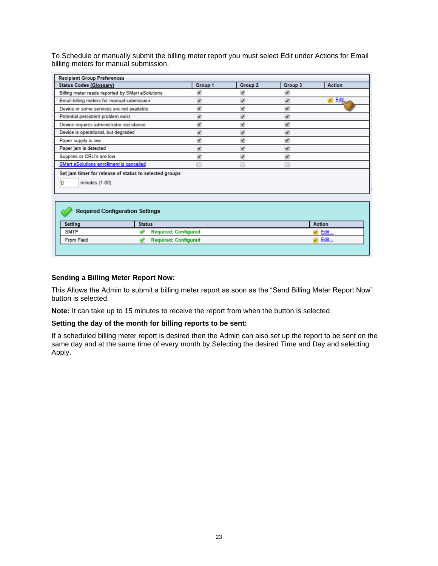To Schedule or manually submit the billing meter report you must select Edit under Actions for Email billing meters for manual submission.

| <b>Recipient Group Preferences</b>                                            |                             |         |                         |                   |
|-------------------------------------------------------------------------------|-----------------------------|---------|-------------------------|-------------------|
| Status Codes (Glossary)                                                       | Group 1                     | Group 2 | Group 3                 | Action            |
| Billing meter reads reported by SMart eSolutions                              | ᢦ                           | V       | ✔                       |                   |
| Email billing meters for manual submission                                    | $\overline{\mathcal{L}}$    | ᢦ       | ✔                       | <u>Edit…</u><br>◢ |
| Device or some services are not available                                     | √                           | V       | ✔                       |                   |
| Potential persistent problem exist                                            | ₩                           | √       | ᢦ                       |                   |
| Device requires administrator assistance                                      | ✔                           | √       | ✔                       |                   |
| Device is operational, but degraded                                           | ✔                           | V       | ✔                       |                   |
| Paper supply is low                                                           | ✔                           | √       | ✔                       |                   |
| Paper jam is detected                                                         | ⊽                           | √       | $\overline{\mathbf{v}}$ |                   |
| Supplies or CRU's are low                                                     | V                           | V       | ᢦ                       |                   |
| SMart eSolutions enrollment is cancelled                                      | −                           | F       |                         |                   |
| Set jam timer for release of status to selected groups<br>O<br>minutes (1-60) |                             |         |                         |                   |
| <b>Required Configuration Settings</b><br>Setting<br><b>Status</b>            |                             |         |                         | Action            |
| SMTP                                                                          | <b>Required; Configured</b> |         |                         | Edit              |
| From Field                                                                    | <b>Required; Configured</b> |         |                         | Edit              |

#### **Sending a Billing Meter Report Now:**

 $\mathbb{R}^n$ 

This Allows the Admin to submit a billing meter report as soon as the "Send Billing Meter Report Now" button is selected.

**Note:** It can take up to 15 minutes to receive the report from when the button is selected.

#### **Setting the day of the month for billing reports to be sent:**

If a scheduled billing meter report is desired then the Admin can also set up the report to be sent on the same day and at the same time of every month by Selecting the desired Time and Day and selecting Apply.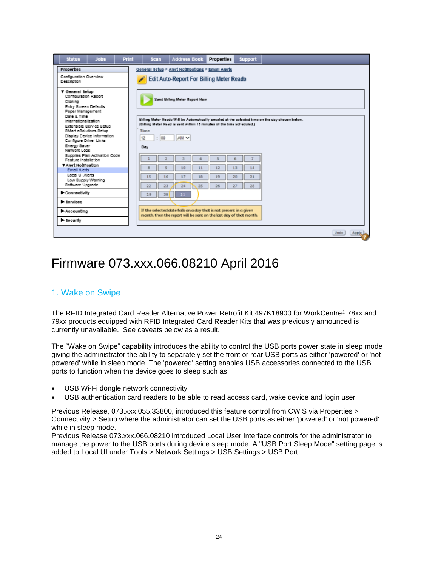| <b>Status</b>                                                                                                                  | <b>Jobs</b>                                            | Print | <b>Scan</b>                       | <b>Address Book</b>                                                                                                                      | Properties | <b>Support</b> |                                                                                                 |  |
|--------------------------------------------------------------------------------------------------------------------------------|--------------------------------------------------------|-------|-----------------------------------|------------------------------------------------------------------------------------------------------------------------------------------|------------|----------------|-------------------------------------------------------------------------------------------------|--|
| Properties<br>Configuration Overview<br>Description                                                                            |                                                        |       | $\overline{\phantom{a}}$          | General Setup > Alert Notifications > Email Alerts<br><b>Edit Auto-Report For Billing Meter Reads</b>                                    |            |                |                                                                                                 |  |
| ▼ General Setup<br>Configuration Report<br>Cloning<br>Entry Screen Defaults<br>Paper Management                                |                                                        |       |                                   | Send Billing Meter Report Now                                                                                                            |            |                |                                                                                                 |  |
| Date & Time<br><b>Internationalization</b><br>SMart eSolutions Setup<br>Configure Driver Links<br>Energy Saver<br>Network Logs | Extensible Service Setup<br>Display Device Information |       | <b>Time</b><br>: 100<br>12<br>Day | (Billing Meter Read ra sent within 15 minutes of the time scheduled.)<br>AM <sub>V</sub>                                                 |            |                | Billing Meter Reads Will be Automatically Emailed at the selected time on the day chosen below. |  |
| Feature Installation<br>V Alert Notification<br>Email Alerts                                                                   | Supplies Plan Activation Code                          |       |                                   | 10                                                                                                                                       |            | 14             |                                                                                                 |  |
| Local UI Alerts<br>Low Supply Warning<br>Software Upgrade                                                                      |                                                        |       | 15<br>16<br>22<br>23              | 24<br>25                                                                                                                                 | 26<br>27   | 21<br>28       |                                                                                                 |  |
| Connectivity                                                                                                                   |                                                        |       | 30<br>29                          | 31                                                                                                                                       |            |                |                                                                                                 |  |
| <b>B</b> Services                                                                                                              |                                                        |       |                                   |                                                                                                                                          |            |                |                                                                                                 |  |
| Accounting                                                                                                                     |                                                        |       |                                   | If the selected date falls on a day that is not present in a given<br>month, then the report will be sent on the last day of that month. |            |                |                                                                                                 |  |
| > Seourity                                                                                                                     |                                                        |       |                                   |                                                                                                                                          |            |                |                                                                                                 |  |
|                                                                                                                                |                                                        |       |                                   |                                                                                                                                          |            |                | Apply<br>Undo                                                                                   |  |

# <span id="page-27-0"></span>Firmware 073.xxx.066.08210 April 2016

### <span id="page-27-1"></span>1. Wake on Swipe

The RFID Integrated Card Reader Alternative Power Retrofit Kit 497K18900 for WorkCentre® 78xx and 79xx products equipped with RFID Integrated Card Reader Kits that was previously announced is currently unavailable. See caveats below as a result.

The "Wake on Swipe" capability introduces the ability to control the USB ports power state in sleep mode giving the administrator the ability to separately set the front or rear USB ports as either 'powered' or 'not powered' while in sleep mode. The 'powered' setting enables USB accessories connected to the USB ports to function when the device goes to sleep such as:

- USB Wi-Fi dongle network connectivity
- USB authentication card readers to be able to read access card, wake device and login user

Previous Release, 073.xxx.055.33800, introduced this feature control from CWIS via Properties > Connectivity > Setup where the administrator can set the USB ports as either 'powered' or 'not powered' while in sleep mode.

Previous Release 073.xxx.066.08210 introduced Local User Interface controls for the administrator to manage the power to the USB ports during device sleep mode. A "USB Port Sleep Mode" setting page is added to Local UI under Tools > Network Settings > USB Settings > USB Port